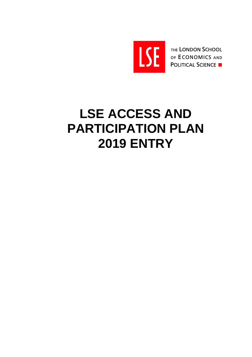

THE LONDON SCHOOL OF ECONOMICS AND **POLITICAL SCIENCE** 

# **LSE ACCESS AND PARTICIPATION PLAN 2019 ENTRY**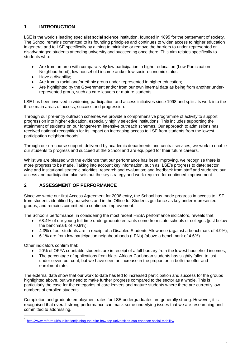# **1 INTRODUCTION**

LSE is the world's leading specialist social science institution, founded in 1895 for the betterment of society. The School remains committed to its founding principles and continues to widen access to higher education in general and to LSE specifically by aiming to minimise or remove the barriers to under-represented or disadvantaged students attending university and succeeding once there. This aim relates specifically to students who:

- Are from an area with comparatively low participation in higher education (Low Participation Neighbourhood), low household income and/or low socio-economic status;
- Have a disability:
- Are from a racial and/or ethnic group under-represented in higher education;
- Are highlighted by the Government and/or from our own internal data as being from another underrepresented group, such as care leavers or mature students

LSE has been involved in widening participation and access initiatives since 1998 and splits its work into the three main areas of access, success and progression.

Through our pre-entry outreach schemes we provide a comprehensive programme of activity to support progression into higher education, especially highly selective institutions. This includes supporting the attainment of students on our longer-term intensive outreach schemes. Our approach to admissions has received national recognition for its impact on increasing access to LSE from students from the lowest participation neighbourhoods<sup>1</sup>.

Through our on-course support, delivered by academic departments and central services, we work to enable our students to progress and succeed at the School and are equipped for their future careers.

Whilst we are pleased with the evidence that our performance has been improving, we recognise there is more progress to be made. Taking into account key information, such as: LSE's progress to date; sector wide and institutional strategic priorities; research and evaluation; and feedback from staff and students; our access and participation plan sets out the key strategy and work required for continued improvement.

# **2 ASSESSMENT OF PERFORMANCE**

Since we wrote our first Access Agreement for 2006 entry, the School has made progress in access to LSE from students identified by ourselves and in the Office for Students guidance as key under-represented groups, and remains committed to continued improvement.

The School's performance, in considering the most recent HESA performance indicators, reveals that:

- 68.4% of our young full-time undergraduate entrants come from state schools or colleges (just below the benchmark of 70.8%);
- 4.3% of our students are in receipt of a Disabled Students Allowance (against a benchmark of 4.9%);
- 6.1% are from low participation neighbourhoods (LPNs) (above a benchmark of 4.6%).

Other indicators confirm that:

- 20% of OFFA countable students are in receipt of a full bursary from the lowest household incomes;
- The percentage of applications from black African-Caribbean students has slightly fallen to just under seven per cent, but we have seen an increase in the proportion in both the offer and enrolment rate.

The external data show that our work to-date has led to increased participation and success for the groups highlighted above, but we need to make further progress compared to the sector as a whole. This is particularly the case for the categories of care leavers and mature students where there are currently low numbers of enrolled students.

Completion and graduate employment rates for LSE undergraduates are generally strong. However, it is recognised that overall strong performance can mask some underlying issues that we are researching and committed to addressing.

<sup>1</sup> <http://www.reform.uk/publication/joining-the-elite-how-top-universities-can-enhance-social-mobility/>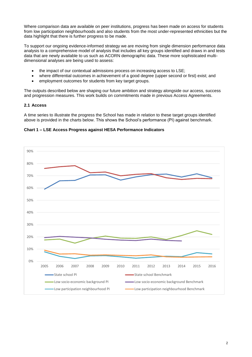Where comparison data are available on peer institutions, progress has been made on access for students from low participation neighbourhoods and also students from the most under-represented ethnicities but the data highlight that there is further progress to be made.

To support our ongoing evidence-informed strategy we are moving from single dimension performance data analysis to a comprehensive model of analysis that includes all key groups identified and draws in and tests data that are newly available to us such as ACORN demographic data. These more sophisticated multidimensional analyses are being used to assess:

- the impact of our contextual admissions process on increasing access to LSE;
- where differential outcomes in achievement of a good degree (upper second or first) exist; and
- employment outcomes for students from key target groups.

The outputs described below are shaping our future ambition and strategy alongside our access, success and progression measures. This work builds on commitments made in previous Access Agreements.

#### **2.1 Access**

A time series to illustrate the progress the School has made in relation to these target groups identified above is provided in the charts below. This shows the School's performance (PI) against benchmark.



**Chart 1 – LSE Access Progress against HESA Performance Indicators**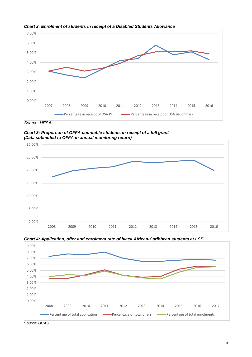

*Chart 2: Enrolment of students in receipt of a Disabled Students Allowance* 

*Source: HESA*

*Chart 3: Proportion of OFFA-countable students in receipt of a full grant (Data submitted to OFFA in annual monitoring return)*







*Source: UCAS*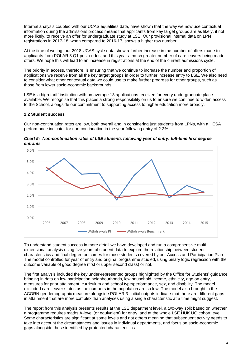Internal analysis coupled with our UCAS equalities data, have shown that the way we now use contextual information during the admissions process means that applicants from key target groups are as likely, if not more likely, to receive an offer for undergraduate study at LSE. Our provisional internal data on LPN registrations in 2017-18, when compared to 2016-17, shows a higher raw number.

At the time of writing, our 2018 UCAS cycle data show a further increase in the number of offers made to applicants from POLAR 3 Q1 post-codes, and this year a much greater number of care leavers being made offers. We hope this will lead to an increase in registrations at the end of the current admissions cycle.

The priority in access, therefore, is ensuring that we continue to increase the number and proportion of applications we receive from all the key target groups in order to further increase entry to LSE. We also need to consider what other contextual data we could use to make further progress for other groups, such as those from lower socio-economic backgrounds.

LSE is a high-tariff institution with on average 13 applications received for every undergraduate place available. We recognise that this places a strong responsibility on us to ensure we continue to widen access to the School, alongside our commitment to supporting access to higher education more broadly.

#### **2.2 Student success**

Our non-continuation rates are low, both overall and in considering just students from LPNs, with a HESA performance indicator for non-continuation in the year following entry of 2.3%.



*Chart 5: Non-continuation rates of LSE students following year of entry: full-time first degree entrants* 

To understand student success in more detail we have developed and run a comprehensive multidimensional analysis using five years of student data to explore the relationship between student characteristics and final degree outcomes for those students covered by our Access and Participation Plan. The model controlled for year of entry and original programme studied, using binary logic regression with the outcome variable of good degree (first or upper second class) or not.

The first analysis included the key under-represented groups highlighted by the Office for Students' guidance bringing in data on low participation neighbourhoods, low household income, ethnicity, age on entry, measures for prior attainment, curriculum and school type/performance, sex, and disability. The model excluded care leaver status as the numbers in the population are so low. The model also brought in the ACORN geodemographic measure alongside POLAR 3. Initial outputs indicate that there are different gaps in attainment that are more complex than analyses using a single characteristic at a time might suggest.

The report from this analysis presents results at the LSE department level, a two-way split based on whether a programme requires maths A-level (or equivalent) for entry, and at the whole LSE HUK UG cohort level. Some characteristics are significant at some levels and not others meaning that subsequent activity needs to take into account the circumstances and issues in individual departments, and focus on socio-economic gaps alongside those identified by protected characteristics.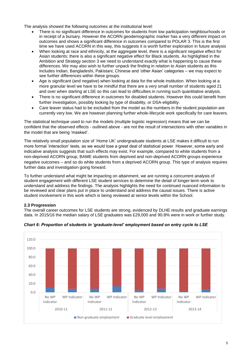The analysis showed the following outcomes at the institutional level:

- There is no significant difference in outcomes for students from low participation neighbourhoods or in receipt of a bursary. However the ACORN geodemographic marker has a very different impact on outcomes and shows a significant difference in outcomes compared to POLAR 3. This is the first time we have used ACORN in this way, this suggests it is worth further exploration in future analysis
- When looking at race and ethnicity, at the aggregate level, there is a significant negative effect for Asian students; there is also a significant negative effect for Black students. As highlighted in the Ambition and Strategy section 3 we need to understand exactly what is happening to cause these differences. We may also wish to further unpack the finding in relation to Asian students as this includes Indian, Bangladeshi, Pakistani, Chinese and 'other Asian' categories – we may expect to see further differences within these groups.
- Age is significant (and negative) when looking at data for the whole institution. When looking at a more granular level we have to be mindful that there are a very small number of students aged 21 and over when starting at LSE so this can lead to difficulties in running such quantitative analysis.
- There is no significant difference in outcomes for disabled students. However this could benefit from further investigation, possibly looking by type of disability, or DSA-eligibility.
- Care leaver status had to be excluded from the model as the numbers in the student population are currently very low. We are however planning further whole-lifecycle work specifically for care leavers.

The statistical technique used to run the models (multiple logistic regression) means that we can be confident that the observed effects - outlined above - are not the result of intersections with other variables in the model that are being 'masked'.

The relatively small population size of 'Home UK' undergraduate students at LSE makes it difficult to run more formal 'interaction' tests, as we would lose a great deal of statistical power. However, some early and indicative analysis suggests that such effects may exist. For example, compared to white students from a non-deprived ACORN group, BAME students from deprived and non-deprived ACORN groups experience negative outcomes – and so do white students from a deprived ACORN group. This type of analysis requires further data and investigation going forward.

To further understand what might be impacting on attainment, we are running a concurrent analysis of student engagement with different LSE student services to determine the detail of longer-term work to understand and address the findings. The analysis highlights the need for continued nuanced information to be reviewed and clear plans put in place to understand and address the causal issues. There is active student involvement in this work which is being reviewed at senior levels within the School.

#### **2.3 Progression**

The overall career outcomes for LSE students are strong, evidenced by DLHE results and graduate earnings data. In 2015/16 the median salary of LSE graduates was £29,000 and 90.8% were in work or further study.



*Chart 6: Proportion of students in 'graduate-level' employment based on entry cycle to LSE*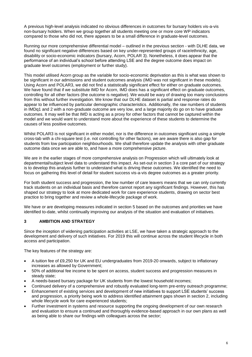A previous high-level analysis indicated no obvious differences in outcomes for bursary holders vis-a-vis non-bursary holders. When we group together all students meeting one or more core WP indicators compared to those who did not, there appears to be a small difference in graduate-level outcomes.

Running our more comprehensive differential model – outlined in the previous section - with DLHE data, we found no significant negative differences based on key under-represented groups of race/ethnicity, age, disability or socio-economic indicators (bursary, Acorn, POLAR 3). Nonetheless, it does appear that the performance of an individual's school before attending LSE and the degree outcome does impact on graduate level outcomes (employment or further study).

This model utilised Acorn group as the variable for socio-economic deprivation as this is what was shown to be significant in our admissions and student outcomes analysis (IMD was not significant in these models). Using Acorn and POLAR3, we did not find a statistically significant effect for either on graduate outcomes. We have found that if we substitute IMD for Acorn, IMD does has a significant effect on graduate outcomes, controlling for all other factors (the outcome is negative). We would be wary of drawing too many conclusions from this without further investigation. We know that our DLHE dataset is partial and response rates do appear to be influenced by particular demographic characteristics. Additionally, the raw numbers of students in IMDq1 and 2 with a non-graduate outcome are very low, and a large majority do go on to have graduate outcomes. It may well be that IMD is acting as a proxy for other factors that cannot be captured within the model and we would want to understand more about the experience of these students to determine the causes of less positive outcomes.

Whilst POLAR3 is not significant in either model, nor is the difference in outcomes significant using a simple cross-tab with a chi-square test (i.e. not controlling for other factors), we are aware there is also gap for students from low participation neighbourhoods. We shall therefore update the analysis with other graduate outcome data once we are able to, and have a more comprehensive picture.

We are in the earlier stages of more comprehensive analysis on Progression which will ultimately look at departmental/subject level data to understand this impact. As set-out in section 3 a core part of our strategy is to develop this analysis further to understand what is driving these outcomes. We identified the need to focus on gathering this level of detail for student success vis-a-vis degree outcomes as a greater priority.

For both student success and progression, the low number of care leavers means that we can only currently track students on an individual basis and therefore cannot report any significant findings. However, this has shaped our strategy to look at more dedicated work for care experience students, drawing on sector best practice to bring together and review a whole-lifecycle package of work.

We have or are developing measures indicated in section 5 based on the outcomes and priorities we have identified to-date, whilst continually improving our analysis of the situation and evaluation of initiatives.

#### **3 AMBITION AND STRATEGY**

Since the inception of widening participation activities at LSE, we have taken a strategic approach to the development and delivery of such initiatives. For 2019 this will continue across the student lifecycle in both access and participation.

The key features of the strategy are:

- A tuition fee of £9,250 for UK and EU undergraduates from 2019-20 onwards, subject to inflationary increases as allowed by Government;
- 50% of additional fee income to be spent on access, student success and progression measures in steady state;
- A needs-based bursary package for UK students from the lowest household incomes;
- Continued delivery of a comprehensive and robustly evaluated long-term pre-entry outreach programme;
- Enhancement of existing services and development of new initiatives to support LSE students' success and progression, a priority being work to address identified attainment gaps shown in section 2, including whole lifecycle work for care experienced students;
- Further investment in systems and resource supporting the ongoing development of our own research and evaluation to ensure a continued and thoroughly evidence-based approach in our own plans as well as being able to share our findings with colleagues across the sector;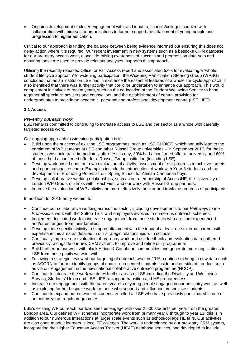Ongoing development of closer engagement with, and input to, schools/colleges coupled with collaboration with third sector organisations to further support the attainment of young people and progression to higher education.

Critical to our approach is finding the balance between being evidence informed but ensuring this does not delay action where it is required. Our recent investment in new systems such as a bespoke CRM database for our pre-entry access work, alongside raising awareness of success and progression data-sets and ensuring these are used to provide relevant analyses, supports this approach.

Utilising the recently released Office for Fair Access report and associated tools for evaluating a 'whole student lifecycle approach' to widening participation, the Widening Participation Steering Group (WPSG) concluded that as an institution LSE has in existence the essential features of a whole life-cycle approach. It also identified that there was further activity that could be undertaken to enhance our approach. This would complement initiatives of recent years, such as the co-location of the Student Wellbeing Service to bring together all specialist advisers and counsellors, and the establishment of central provision for undergraduates to provide an academic, personal and professional development centre (LSE LIFE).

### **3.1 Access**

### *Pre-entry outreach work*

LSE remains committed to continuing to increase access to LSE and the sector as a whole with carefully targeted access work.

Our ongoing approach to widening participation is to:

- Build upon the success of existing LSE programmes, such as LSE CHOICE, which annually lead to the enrolment of WP students at LSE and other Russell Group universities – in September 2017, for those students we could track immediately after results day, 89% had a confirmed offer at university and 60% of those held a confirmed offer for a Russell Group institution (including LSE);
- Develop work based upon our own evaluation of activity, assessment of our progress to achieve targets and upon national research. Examples include the introduction of work with Year 8 students and the development of Promoting Potential, our Spring School for African-Caribbean boys;
- Develop collaborative working relationships, such as our membership of AccessHE, the University of London WP Group, our links with TeachFirst, and our work with Russell Group partners;
- Improve the evaluation of WP activity and more effectively monitor and track the progress of participants.

In addition, for 2019 entry we aim to:

- Continue our collaborative working across the sector, including developments to our *Pathways to the Professions* work with the Sutton Trust and employers involved in numerous outreach schemes;
- Implement dedicated work to increase engagement from those students who are care experienced and/or estranged from their families;
- Develop more specific activity to support attainment with the input of at least one external partner with expertise in this area as detailed in our strategic relationships with schools;
- Continually improve our evaluation of pre-entry work and use feedback and evaluation data gathered previously, alongside our new CRM system, to improve and refine our programme;
- Build further on our work with black African& Caribbean communities and generate more applications to LSE from those pupils we work with;
- Following a strategic review of our targeting of outreach work in 2016, continue to bring in new data such as ACORN to further identify groups of under-represented students inside and outside of London, such as via our engagement in the new national collaborative outreach programme (NCOP);
- Continue to integrate the work we do with other areas of LSE including the Disability and Wellbeing Service, Students' Union and LSE LIFE to support transition and HE preparedness;
- Increase our engagement with the parents/carers of young people engaged in our pre-entry work as well as exploring further bespoke work for those who support and influence prospective students;
- Continue to expand our network of students enrolled at LSE who have previously participated in one of our intensive outreach programmes.

LSE's existing WP outreach portfolio sees us engage with over 2,500 students per year from the greater London area. Our defined WP schemes incorporate work from primary year 6 through to year 13; this is in addition to our numerous interactions at larger scale events such as school/college HE fairs. Our activities are also open to adult learners in local FE colleges. The work is underpinned by our pre-entry CRM system, incorporating the Higher Education Access Tracker (HEAT) database services, and developed to include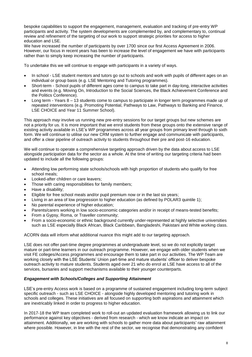bespoke capabilities to support the engagement, management, evaluation and tracking of pre-entry WP participants and activity. The system developments are complemented by, and complementary to, continual review and refinement of the targeting of our work to support strategic priorities for access to higher education and LSE.

We have increased the number of participants by over 1700 since our first Access Agreement in 2006. However, our focus in recent years has been to increase the level of engagement we have with participants rather than to simply keep increasing the number of participants.

To undertake this we will continue to engage with participants in a variety of ways.

- In school LSE student mentors and tutors go out to schools and work with pupils of different ages on an individual or group basis (e.g. LSE Mentoring and Tutoring programmes).
- Short-term School pupils of different ages come to campus to take part in day-long, interactive activities and events (e.g. Moving On, Introduction to the Social Sciences, the Black Achievement Conference and the Politics Conference).
- Long term Years 8 13 students come to campus to participate in longer term programmes made up of repeated interventions (e.g. Promoting Potential, Pathways to Law, Pathways to Banking and Finance, LSE CHOICE and Year 11 Summer School).

This approach *may* involve us running new pre-entry sessions for our target groups but new schemes are not a priority for us. It is more important that we enrol students from these groups onto the extensive range of existing activity available in LSE's WP programmes across all year groups from primary level through to sixth form. We will continue to utilise our new CRM system to further engage and communicate with participants, and offer a clear pipeline of outreach activity to students throughout their pre and post-16 education.

We will continue to operate a comprehensive targeting approach driven by the data about access to LSE alongside participation data for the sector as a whole. At the time of writing our targeting criteria had been updated to include all the following groups:

- Attending low performing state schools/schools with high proportion of students who qualify for free school meals;
- Looked-after children or care leavers:
- Those with caring responsibilities for family members;
- Have a disability:
- Eligible for free school meals and/or pupil premium now or in the last six years;
- Living in an area of low progression to higher education (as defined by POLAR3 quintile 1);
- No parental experience of higher education;
- Parents/carers working in low socio-economic categories and/or in receipt of means-tested benefits;
- From a Gypsy, Roma, or Traveller community;
- From a socio-economic or ethnic background currently under-represented at highly selective universities such as LSE especially Black African, Black Caribbean, Bangladeshi, Pakistani and White working class.

ACORN data will inform what additional nuance this might add to our targeting approach.

LSE does not offer part-time degree programmes at undergraduate level, so we do not explicitly target mature or part-time learners in our outreach programme. However, we engage with older students when we visit FE colleges/Access programmes and encourage them to take part in our activities. The WP Team are working closely with the LSE Students' Union part-time and mature students' officer to deliver bespoke outreach activity to mature students. Students aged over 21 who do enrol at LSE have access to all of the services, bursaries and support mechanisms available to their younger counterparts.

#### *Engagement with Schools/Colleges and Supporting Attainment*

LSE's pre-entry Access work is based on a programme of sustained engagement including long-term subject specific outreach - such as LSE CHOICE - alongside highly developed mentoring and tutoring work in schools and colleges. These initiatives are all focused on supporting both aspirations *and* attainment which are inextricably linked in order to progress to higher education.

In 2017-18 the WP team completed work to roll-out an updated evaluation framework allowing us to link our performance against key objectives - derived from research - which we know indicate an impact on attainment. Additionally, we are working with schools to gather more data about participants' raw attainment where possible. However, in line with the rest of the sector, we recognise that demonstrating any confident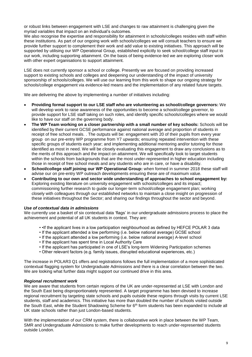or robust links between engagement with LSE and changes to raw attainment is challenging given the myriad variables that impact on an individual's outcomes.

We also recognise the expertise and responsibility for attainment in schools/colleges resides with staff within these institutions. As part of our ongoing work with schools/colleges we will consult teachers to ensure we provide further support to complement their work and add value to existing initiatives. This approach will be supported by utilising our WP Operational Group, established explicitly to seek school/college staff input to our work, including supporting attainment. On the basis of being evidence-led we are exploring closer work with other expert organisations to support attainment.

LSE does not currently sponsor a school or college. Presently we are focused on providing increased support to existing schools and colleges and deepening our understanding of the impact of university sponsorship of schools/colleges. We will use our learning from this work to shape our ongoing strategy for schools/college engagement via evidence-led means and the implementation of any related future targets.

We are delivering the above by implementing a number of initiatives including:

- **Providing formal support to our LSE staff who are volunteering as school/college governors:** We will develop work to raise awareness of the opportunities to become a school/college governor, to provide support for LSE staff taking on such roles, and identify specific schools/colleges where we would like to have our staff on the governing body.
- **The WP Team working on a closer partnership with a small number of key schools:** Schools will be identified by their current GCSE performance against national average and proportion of students in receipt of free school meals. . The outputs will be: engagement with 20 of their pupils from every year group on our pre-entry WP programme from Y7 upwards; ensuring repeated intervention with these specific groups of students each year; and implementing additional mentoring and/or tutoring for those identified as most in need. We will be closely evaluating this engagement to draw any conclusions as to the merits of this approach and the impact on attainment. We will specifically look to target students within the schools from backgrounds that are the most under-represented in higher education including those in receipt of free school meals and any students who are in care, or have a disability.
- **School/college staff joining our WP Operational Group:** when formed in summer 2018 these staff will advise our on pre-entry WP outreach developments ensuring these are of maximum value.
- **Contributing to our own and sector wide understanding of approaches to school engagement by:**  Exploring existing literature on university engagement with schools/colleges and its impact; commissioning further research to guide our longer-term school/college engagement plan; working closely with colleagues through our established networks to maintain a close insight on progression of these initiatives throughout the Sector; and sharing our findings throughout the sector and beyond.

#### *Use of contextual data in admissions*

We currently use a basket of six contextual data 'flags' in our undergraduate admissions process to place the achievement and potential of all UK students in context. They are:

- If the applicant lives in a low participation neighbourhood as defined by HEFCE POLAR 3 data
- If the applicant attended a low performing (i.e. below national average) GCSE school
- If the applicant attended a low performing (i.e. below national average) A-level school
- If the applicant has spent time in Local Authority Care
- If the applicant has participated in one of LSE's long-term Widening Participation schemes
- Other relevant factors (e.g. family issues, disrupted educational experiences, etc.)

The increase in POLAR3 Q1 offers and registrations follows the full implementation of a more sophisticated contextual flagging system for Undergraduate Admissions and there is a clear correlation between the two. We are looking what further data might support our continued drive in this area.

#### *Regional recruitment work*

We are aware that students from certain regions of the UK are under-represented at LSE with London and the South East being disproportionately represented. A target programme has been devised to increase regional recruitment by targeting state schools and pupils outside these regions through visits by current LSE students, staff and academics. This initiative has more than doubled the number of schools visited outside the South East, while the Student Shadowing Scheme for  $6<sup>th</sup>$  form students has been expanded to include all UK state schools rather than just London-based students.

With the implementation of our CRM system, there is collaborative work in place between the WP Team, SMR and Undergraduate Admissions to make further developments to reach under-represented students outside London.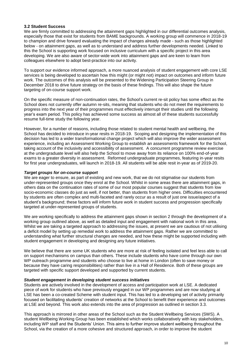#### **3.2 Student Success**

We are firmly committed to addressing the attainment gaps highlighted in our differential outcomes analysis, especially those that exist for students from BAME backgrounds. A working group will commence in 2018-19 to champion and drive forward evaluating the impact of changes already made - such as those highlighted below - on attainment gaps, as well as to understand and address further developments needed. Linked to this the School is supporting work focused on inclusive curriculum with a specific project in this area developing. We are also aware of sector-wide work into attainment gaps and are keen to learn from colleagues elsewhere to adopt best-practice into our activity.

To support our evidence informed approach, a more nuanced analysis of student engagement with core LSE services is being developed to ascertain how this might (or might not) impact on outcomes and inform future work. The outcomes of this analysis will be presented to the Widening Participation Steering Group in December 2018 to drive future strategy on the basis of these findings. This will also shape the future targeting of on-course support work.

On the specific measure of non-continuation rates, the School's current re-sit policy has some effect as the School does not currently offer autumn re-sits, meaning that students who do not meet the requirements to progress into the next year of their programmes must effectively interrupt their studies until the following year's exam period. This policy has achieved some success as almost all of these students successfully resume full-time study the following year.

However, for a number of reasons, including those related to student mental health and wellbeing, the School has decided to introduce in-year resits in 2018-19. Scoping and designing the implementation of this decision has led to a wider transformational change project which will also improve the wider assessment experience, including an Assessment Working Group to establish an assessments framework for the School, taking account of the inclusivity and accessibility of assessment. A concurrent programme review exercise at the undergraduate level will also help the School to move away from its reliance on 100% end-of-year exams to a greater diversity in assessment. Reformed undergraduate programmes, featuring in-year resits for first year undergraduates, will launch in 2018-19. All students will be able resit in-year as of 2019-20.

#### *Target groups for on-course support*

We are eager to ensure, as part of existing and new work, that we do not stigmatise our students from under-represented groups once they enrol at the School. Whilst in some areas there are attainment gaps, in others data on the continuation rates of some of our most popular courses suggest that students from low socio-economic classes do just as well, if not better, than students from higher ones. Difficulties encountered by students are often complex and multi-faceted and rarely occur as a result of just one issue/aspect of a student's background; these factors will inform future work in student success and progression specifically targeted at under-represented groups of students.

We are working specifically to address the attainment gaps shown in section 2 through the development of a working group outlined above, as well as detailed input and engagement with national work in this area. Whilst we are taking a targeted approach to addressing the issues, at present we are cautious of not utilising a deficit model by setting up remedial work to address the attainment gaps. Rather we are committed to understanding what further structural changes are needed, and how these might be supported including with student engagement in developing and designing any future initiatives.

We believe that there are some UK students who are more at risk of feeling isolated and feel less able to call on support mechanisms on campus than others. These include students who have come through our own WP outreach programme and students who choose to live at home in London (often to save money or because they have caring responsibilities) rather than live in a Hall of Residence. Both of these groups are targeted with specific support developed and supported by current students.

#### *Student engagement in developing student success initiatives*

Students are actively involved in the development of access and participation work at LSE. A dedicated piece of work for students who have previously engaged in our WP programmes and are now studying at LSE has been a co-created Scheme with student input. This has led to a developing set of activity primarily focused on facilitating students' creation of networks at the School to benefit their experience and outcomes at LSE and beyond. This work also extends into the area of progression as outlined in section 3.3.

This approach is mirrored in other areas of the School such as the Student Wellbeing Services (SWS). A student Wellbeing Working Group has been established which works collaboratively with key stakeholders, including WP staff and the Students' Union. This aims to further improve student wellbeing throughout the School, via the creation of a more cohesive and structured approach, in order to improve the student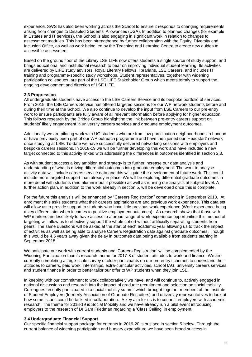experience. SWS has also been working across the School to ensure it responds to changing requirements arising from changes to Disabled Students' Allowances (DSA). In addition to planned changes (for example in Estates and IT services), the School is also engaging in significant work in relation to changes to assessment modules. This has been strengthened by further collaboration with the Equity, Diversity and Inclusion Office, as well as work being led by the Teaching and Learning Centre to create new guides to accessible assessment.

Based on the ground floor of the Library LSE LIFE now offers students a single source of study support, and brings educational and institutional research to bear on improving individual student learning. Its activities are delivered by LIFE study advisors, Royal Literary Fellows, librarians, LSE Careers, and includes IT training and programme-specific study workshops. Student representatives, together with widening participation colleagues, are part of the LSE LIFE Stakeholder Group which meets termly to support the ongoing development and direction of LSE LIFE.

#### **3.3 Progression**

All undergraduate students have access to the LSE Careers Service and its bespoke portfolio of services. From 2015, the LSE Careers Service has offered targeted sessions for our WP network students before and during their time at the School. We also continue to develop the input from LSE Careers to our pre-entry work to ensure participants are fully aware of all relevant information before applying for higher education. This follows research by the Bridge Group highlighting the link between pre-entry careers support on students' likely engagement in university careers services and graduate employment outcomes.

Additionally we are piloting work with UG students who are from low participation neighbourhoods in London or have previously been part of our WP outreach programme and have then joined our 'Headstart' network once studying at LSE. To-date we have successfully delivered networking sessions with employers and bespoke careers sessions. In 2018-19 we will be further developing this work and have included a new target connected to this activity linked with addressing the differences in outcomes identified in section 2.3.

As with student success a key ambition and strategy is to further increase our data analysis and understanding of what is driving differential outcomes into graduate employment. The work to analyse activity data will include careers service data and this will guide the development of future work. This could include more targeted support than already in place. We will be exploring differential graduate outcomes in more detail with students (and alumni input if possible) as well as running our analysis at subject level. A further action plan, in addition to the work already in section 5, will be developed once this is complete.

For the future this analysis will be enhanced by "Careers Registration" commencing in September 2018. At enrolment this asks students what their careers aspirations are and previous work experience. This data set will allow us to provide support to students who have little previous work experience (Work experience being a key differentiator when it comes to positive employment outcomes). As research shows that those with WP markers are less likely to have access to a broad range of work experience opportunities this method of targeting will allow us to effectively support the whole cohort without artificially separating students from peers. The same questions will be asked at the start of each academic year allowing us to track the impact of activities as well as being able to analyse Careers Registration data against graduate outcomes. Though this would be 4.5 years away given the delay in outcomes data being available from students starting in September 2018.

We anticipate our work with current students and 'Careers Registration' will be complemented by the Widening Participation team's research theme for 2017-8 of student attitudes to work and finance. We are currently completing a large-scale survey of older participants on our pre-entry schemes to understand their attitudes to careers, paid work, internships, extra-curricular activities, school IAG, university careers services and student finance in order to better tailor our offer to WP students when they join LSE.

In keeping with our commitment to work collaboratively we have, and will continue to, actively engaged in national discussions and research into the impact of graduate recruitment and selection on social mobility. Colleagues recently participated in a social mobility summit which brought together members of the Institute of Student Employers (formerly Association of Graduate Recruiters) and university representatives to look at how some issues could be tackled in collaboration. A key aim for us is to connect employers with academic research. The theme for 2018-19 is Social Mobility and we have already run a pilot event introducing employers to the research of Dr Sam Friedman regarding a 'Class Ceiling' in employment.

#### **3.4 Undergraduate Financial Support**

Our specific financial support package for entrants in 2019-20 is outlined in section 5 below. Through the current balance of widening participation and bursary expenditure we have seen broad success in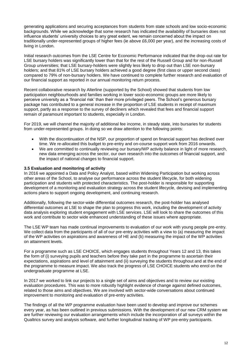generating applications and securing acceptances from students from state schools and low socio-economic backgrounds. While we acknowledge that some research has indicated the availability of bursaries does not influence students' university choices to any great extent, we remain concerned about the impact on traditionally under-represented groups of higher fees (ie above £6,000 per year), and the increasing costs of living in London.

Initial research outcomes from the LSE Centre for Economic Performance indicated that the drop-out rate for LSE bursary holders was significantly lower than that for the rest of the Russell Group and for non-Russell Group universities; that LSE bursary-holders were slightly less likely to drop out than LSE non-bursary holders; and that 81% of LSE bursary holders achieved a good degree (first class or upper second class) compared to 79% of non-bursary holders. We have continued to complete further research and evaluation of our financial support as reported in our annual monitoring return process.

Recent collaborative research by Alterline (supported by the School) showed that students from low participation neighbourhoods and families working in lower socio-economic groups are more likely to perceive university as a 'financial risk' than their more privileged peers. The School's generous bursary package has contributed to a general increase in the proportion of LSE students in receipt of maximum support, partly as a response to the survey of decliners which revealed that fees and financial support remain of paramount important to students, especially in London.

For 2019, we will channel the majority of additional fee income, in steady state, into bursaries for students from under-represented groups. In doing so we draw attention to the following points:

- With the discontinuation of the NSP, our proportion of spend on financial support has declined over time. We re-allocated this budget to pre-entry and on-course support work from 2016 onwards.
- We are committed to continually reviewing our bursary/WP activity balance in light of more research, new data emerging across the sector, our own research into the outcomes of financial support, and the impact of national changes to financial support.

#### **3.5 Evaluation and monitoring of activity**

In 2016 we appointed a Data and Policy Analyst, based within Widening Participation but working across other areas of the School, to analyse our performance across the student lifecycle, for both widening participation and students with protected characteristics. The post-holder is responsible for supporting development of a monitoring and evaluation strategy across the student lifecycle, devising and implementing actions plans to support ongoing development, and continuing research.

Additionally, following the sector-wide differential outcomes research, the post-holder has analysed differential outcomes at LSE to shape the plan to progress this work, including the development of activity data analysis exploring student engagement with LSE services. LSE will look to share the outcomes of this work and contribute to sector wide enhanced understanding of these issues where appropriate.

The LSE WP team has made continual improvements to evaluation of our work with young people pre-entry. We collect data from the participants of all of our pre-entry activities with a view to (a) measuring the impact of the WP activities on aspirations and awareness of HE and (b) measuring the impact of the WP activities on attainment levels.

For a programme such as LSE CHOICE, which engages students throughout Years 12 and 13, this takes the form of (i) surveying pupils and teachers before they take part in the programme to ascertain their expectations, aspirations and level of attainment and (ii) surveying the students throughout and at the end of the programme to measure impact. We also track the progress of LSE CHOICE students who enrol on the undergraduate programme at LSE.

In 2017 we worked to link our projects to a single set of aims and objectives and to review our existing evaluation procedures. This was to more robustly highlight evidence of change against defined outcomes, related to those aims and objectives. We are involved with sector-wide conversations about continued improvement to monitoring and evaluation of pre-entry activities.

The findings of all the WP programme evaluation have been used to develop and improve our schemes every year, as has been outlined in previous submissions. With the development of our new CRM system we are further reviewing our evaluation arrangements which include the incorporation of all surveys within the Qualtrics survey and analysis software, and further longitudinal tracking of WP pre-entry participants.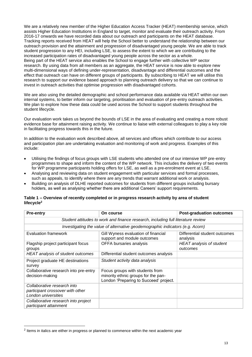We are a relatively new member of the Higher Education Access Tracker (HEAT) membership service, which assists Higher Education Institutions in England to target, monitor and evaluate their outreach activity. From 2016-17 onwards we have recorded data about our outreach and participants on the HEAT database. Tracking reports received from HEAT will help the School better to understand the relationship between our outreach provision and the attainment and progression of disadvantaged young people. We are able to track student progression to any HEI, including LSE, to assess the extent to which we are contributing to the increased participation rates of disadvantaged young people across the sector as a whole. Being part of the HEAT service also enables the School to engage further with collective WP sector research. By using data from all members as an aggregate, the HEAT service is now able to explore new multi-dimensional ways of defining under-representation, disadvantage and differential outcomes and the effect that outreach can have on different groups of participants. By subscribing to HEAT we will utilise this research to support our evidence based approach to planning outreach delivery so that we can continue to invest in outreach activities that optimise progression with disadvantaged cohorts.

We are also using the detailed demographic and school performance data available via HEAT within our own internal systems, to better inform our targeting, prioritisation and evaluation of pre-entry outreach activities. We plan to explore how these data could be used across the School to support students throughout the student lifecycle.

Our evaluation work takes us beyond the bounds of LSE in the area of evaluating and creating a more robust evidence base for attainment raising activity. We continue to liaise with external colleagues to play a key role in facilitating progress towards this in the future.

In addition to the evaluation work described above, all services and offices which contribute to our access and participation plan are undertaking evaluation and monitoring of work and progress. Examples of this include:

- Utilising the findings of focus groups with LSE students who attended one of our intensive WP pre-entry programmes to shape and inform the content of the WP network. This includes the delivery of two events for WP programme participants holding offers for LSE, as well as a pre-enrolment event at LSE.
- Analysing and reviewing data on student engagement with particular services and formal processes, such as appeals, to identify where there are any trends that warrant additional work or analysis.
- Building on analysis of DLHE reported outcomes for students from different groups including bursary holders, as well as analysing whether there are additional Careers' support requirements.

| Table 1 – Overview of recently completed or in progress research activity by area of student |  |
|----------------------------------------------------------------------------------------------|--|
| lifecycle <sup>2</sup>                                                                       |  |

| <b>Pre-entry</b>                                                                       | On course                                                                                                        | <b>Post-graduation outcomes</b>           |  |  |  |  |  |  |  |  |
|----------------------------------------------------------------------------------------|------------------------------------------------------------------------------------------------------------------|-------------------------------------------|--|--|--|--|--|--|--|--|
|                                                                                        |                                                                                                                  |                                           |  |  |  |  |  |  |  |  |
| Student attitudes to work and finance research, including full literature review       |                                                                                                                  |                                           |  |  |  |  |  |  |  |  |
| Investigating the value of alternative geodemographic indicators (e.g. Acorn)          |                                                                                                                  |                                           |  |  |  |  |  |  |  |  |
| <b>Evaluation framework</b>                                                            | Gill Wyness evaluation of financial<br>support and module outcomes                                               | Differential student outcomes<br>analysis |  |  |  |  |  |  |  |  |
| Flagship project participant focus<br>groups                                           | OFFA bursaries analysis                                                                                          | HEAT analysis of student<br>outcomes      |  |  |  |  |  |  |  |  |
| HEAT analysis of student outcomes                                                      | Differential student outcomes analysis                                                                           |                                           |  |  |  |  |  |  |  |  |
| Project graduate HE destinations<br>survey                                             | Student activity data analysis                                                                                   |                                           |  |  |  |  |  |  |  |  |
| Collaborative research into pre-entry<br>decision-making                               | Focus groups with students from<br>minority ethnic groups for the pan-<br>London 'Preparing to Succeed' project. |                                           |  |  |  |  |  |  |  |  |
| Collaborative research into<br>participant crossover with other<br>London universities |                                                                                                                  |                                           |  |  |  |  |  |  |  |  |
| Collaborative research into project<br>participant attainment                          |                                                                                                                  |                                           |  |  |  |  |  |  |  |  |

 $\overline{a}$ 

 $2$  Items in italics are either in progress or planned to commence within the next academic year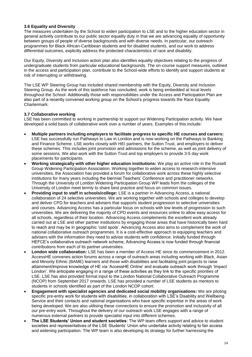#### **3.6 Equality and Diversity**

The measures undertaken by the School to widen participation to LSE and to the higher education sector in general actively contribute to our public sector equality duty in that we are advancing equality of opportunity between groups of people of diverse backgrounds and with diverse needs. In particular, our outreach programmes for Black African-Caribbean students and for disabled students, and our work to address differential outcomes, explicitly address the protected characteristics of race and disability.

Our Equity, Diversity and Inclusion action plan also identifies equality objectives relating to the progress of undergraduate students from particular educational backgrounds. The on-course support measures, outlined in the access and participation plan, contribute to the School-wide efforts to identify and support students at risk of interrupting or withdrawing.

The LSE WP Steering Group has included shared membership with the Equity, Diversity and Inclusion Steering Group. As the work of this taskforce has concluded, work is being embedded at local levels throughout the School. Additionally those with responsibilities under the Access and Participation Plan are also part of a recently convened working group on the School's progress towards the Race Equality Chartermark.

### **3.7 Collaborative working**

LSE has been committed to working in partnership to support our Widening Participation activity. We have developed a solid basis of collaborative work over a number of years. Examples of this include:

- **Multiple partners including employers to facilitate progress to specific HE courses and careers:**  LSE has successfully run Pathways to Law in London and is now working on the Pathways to Banking and Finance Scheme. LSE works closely with HEI partners, the Sutton Trust, and employers to deliver these schemes. This includes joint promotion and admissions for the scheme, as well as joint delivery of some sessions. We also work with the Sutton Trust and top employers to provide 3-5 day work placements for participants.
- **Working strategically with other higher education institutions:** We play an active role in the Russell Group Widening Participation Association. Working together to widen access to research-intensive universities, the Association has provided a forum for collaborative work across these highly selective institutions for many years including the biennial Teachers' Conference and practitioner networks. Through the University of London Widening Participation Group WP leads from the colleges of the University of London meet termly to share best practice and focus on common issues.
- **Providing input to staff in schools/college:** LSE is a partner in Advancing Access, a national collaboration of 24 selective universities. We are working together with schools and colleges to develop and deliver CPD for teachers and advisers that supports student progression to selective universities and courses. Advancing Access has a particular focus on schools with low levels of progression to such universities. We are delivering the majority of CPD events and resources online to allow easy access for all schools, regardless of their location. Advancing Access complements the excellent work already carried out at LSE and other partner institutions by engaging those areas that have historically been hard to reach and may be in geographic 'cold spots'. Advancing Access also aims to complement the work of national collaborative outreach programmes. It is a cost-effective approach to equipping teachers and advisers with the information they need to advise students with confidence. Initially funded through HEFCE's collaborative outreach network scheme, Advancing Access is now funded through financial contributions from each of its partner universities.
- **London wide collaboration:** LSE has been a member of Access HE since its commencement in 2012. AccessHE convenes action forums across a range of outreach areas including working with Black, Asian and Minority Ethnic (BAME) learners and those with disabilities and facilitating joint projects to raise attainment/improve knowledge of HE via 'AccessHE Online' and evaluate outreach work through 'Impact London'. We anticipate engaging in a range of these activities as they link to the specific priorities of LSE. LSE has also provided formal input to the London National Collaborative Outreach Programme (NCOP) from September 2017 onwards. LSE has provided a number of LSE students as mentors to students in schools identified as part of the London NCOP cohort.
- **Engagement with specialist agencies and dedicated social mobility organisations:** We are piloting specific pre-entry work for students with disabilities, in collaboration with LSE's Disability and Wellbeing Service and their contacts and national organisations who have specific expertise in the areas of work being developed. We are also utilising these connections to ensure the promotion and inclusivity of all our pre-entry work. Throughout the delivery of our outreach work LSE engages with a range of numerous external partners to provide specialist input into different schemes.
- **The LSE Students' Union and student societies**: The WP team offers support and advice to student societies and representatives of the LSE Students' Union who undertake activity relating to fair access and widening participation. The WP team is also developing its strategy for further harnessing the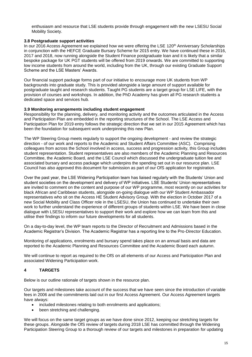enthusiasm and resource that LSE students provide through engagement with the new LSESU Social Mobility Society.

### **3.8 Postgraduate support activities**

In our 2016 Access Agreement we explained how we were offering the LSE 120<sup>th</sup> Anniversary Scholarships in conjunction with the HEFCE Graduate Bursary Scheme for 2015 entry. We have continued these in 2016, 2017 and 2018, now running alongside the Student Finance postgraduate loan and it is likely that a similar bespoke package for UK PGT students will be offered from 2019 onwards. We are committed to supporting low income students from around the world, including from the UK, through our existing Graduate Support Scheme and the LSE Masters' Awards.

Our financial support package forms part of our initiative to encourage more UK students from WP backgrounds into graduate study. This is provided alongside a large amount of support available for postgraduate taught and research students. Taught PG students are a target group for LSE LIFE, with the provision of courses and workshops. In addition, the PhD Academy has given all PG research students a dedicated space and services hub.

### **3.9 Monitoring arrangements including student engagement**

Responsibility for the planning, delivery, and monitoring activity and the outcomes articulated in the Access and Participation Plan are embedded in the reporting structures of the School. The LSE Access and Participation Plan for 2019 entry follows the strategic direction that we set in our 2015 Agreement which has been the foundation for subsequent work underpinning this new Plan.

The WP Steering Group meets regularly to support the ongoing development - and review the strategic direction - of our work and reports to the Academic and Student Affairs Committee (ASC). Comprising colleagues from across the School involved in access, success and progression activity, this Group includes student representation. Student representatives are also members of the Academic Planning and Resources Committee, the Academic Board, and the LSE Council which discussed the undergraduate tuition fee and associated bursary and access package which underpins the spending set out in our resource plan. LSE Council has also approved this document for submission as part of our OfS application for registration.

Over the past year, the LSE Widening Participation team has liaised regularly with the Students' Union and student societies on the development and delivery of WP initiatives. LSE Students' Union representatives are invited to comment on the content and purpose of our WP programme, most recently on our activities for black African and Caribbean students, alongside on-going dialogue with our WP Student Ambassador representatives who sit on the Access HE Student Advisory Group. With the election in October 2017 of a new Social Mobility and Class Officer role in the LSESU, the Union has continued to undertake their own work to further understand the experience of different groups of students within LSE. We have been in close dialogue with LSESU representatives to support their work and explore how we can learn from this and utilise their findings to inform our future developments for all students.

On a day-to-day level, the WP team reports to the Director of Recruitment and Admissions based in the Academic Registrar's Division. The Academic Registrar has a reporting line to the Pro-Director Education.

Monitoring of applications, enrolments and bursary spend takes place on an annual basis and data are reported to the Academic Planning and Resources Committee and the Academic Board each autumn.

We will continue to report as required to the OfS on all elements of our Access and Participation Plan and associated Widening Participation work.

## **4 TARGETS**

Below is our outline rationale of targets shown in the resource plan.

Our targets and milestones take account of the success that we have seen since the introduction of variable fees in 2006 and the commitments laid out in our first Access Agreement. Our Access Agreement targets have always:

- included milestones relating to both enrolments and applications;
- been stretching and challenging.

We will focus on the same target groups as we have done since 2012, keeping our stretching targets for these groups. Alongside the OfS review of targets during 2018 LSE has committed through the Widening Participation Steering Group to a thorough review of our targets and milestones in preparation for updating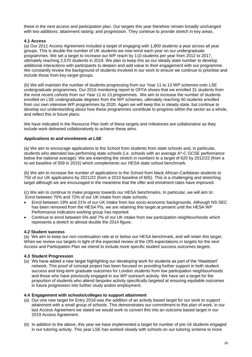these in the next access and participation plan. Our targets this year therefore remain broadly unchanged with two additions: attainment raising; and progression. They continue to provide stretch in key areas.

### **4.1 Access**

(a) Our 2011 Access Agreement included a target of engaging with 1,800 students a year across all year groups. This is double the number of UK students we now enrol each year on our undergraduate programmes. We set a target to increase our WP reach by 110 students per year from 2012 to 2017, ultimately reaching 2,570 students in 2019. We plan to keep this as our steady state number to develop additional interactions with participants to deepen and add value to their engagement with our programme. We constantly review the background of students involved in our work to ensure we continue to prioritise and include those from key target groups.

(b) We will maintain the number of students progressing from our Year 11 to 13 WP schemes onto LSE undergraduate programmes. Our 2016 monitoring report to OFFA shows that we enrolled 31 students from the most recent cohorts from our Year 11 to 13 programmes. We aim to increase the number of students enrolled on LSE undergraduate degrees from the WP schemes, ultimately reaching 40 students enrolled from our own intensive WP programmes by 2020. Again we will keep this in steady state, but continue to develop our understanding about how these programmes contribute to progress within the sector as a whole, and reflect this in future plans.

We have indicated in the Resource Plan both of these targets and milestones are collaborative as they include work delivered collaboratively to achieve these aims.

#### *Applications to and enrolments at LSE*

(a) We aim to encourage applications to the School from students from state schools and, in particular, students who attended low-performing state schools (i.e. schools with an average A\*-C GCSE performance below the national average). We are extending the stretch in numbers to a target of 620 by 2012/22 (from a re-set baseline of 509 in 2015) which complements our HESA state school benchmark.

(b) We aim to increase the number of applications to the School from black African-Caribbean students to 750 of our UK applications by 2021/22 (from a 2010 baseline of 605). This is a challenging and stretching target although we are encouraged in the meantime that the offer and enrolment rates have improved.

(c) We aim to continue to make progress towards our HESA benchmarks. In particular, we will aim to: Enrol between 70% and 72% of our UK intake from state schools;

- Enrol between 19% and 21% of our UK intake from low socio-economic backgrounds. Although NS-SEC has been removed from the HESA PIs, we are retaining this target at present until the HESA WP Performance Indicators working group has reported;
- Continue to enrol between 5% and 7% of our UK intake from low participation neighbourhoods which represents a stretch to almost double the 2014 figure.

#### **4.2 Student success**

(a) We aim to keep our non-continuation rate at or below our HESA benchmark, and will retain this target. When we review our targets in light of the expected review of the OfS expectations in targets for the next Access and Participation Plan we intend to include more specific student success outcomes targets.

#### **4.3 Student Progression**

(a) We have added a new target highlighting our developing work for students as part of the 'Headstart' network. This proof of concept project has been focused on providing further support in both student success and long-term graduate outcomes for London students from low participation neighbourhoods and those who have previously engaged in our WP outreach activity. We have set a target for the proportion of students who attend bespoke activity specifically targeted at ensuring equitable outcomes in future progression into further study and/or employment.

#### **4.4 Engagement with schools/colleges to support attainment**

- (a) Our one new target for Entry 2018 was the addition of an activity based target for our work to support attainment with a small group of schools. This demonstrates our commitment to this plan of work, in our last Access Agreement we stated we would work to convert this into an outcome based target in our 2019 Access Agreement.
- (b) In addition to the above, this year we have implemented a target for number of pre-16 students engaged in our tutoring activity. This year LSE has worked closely with schools on our tutoring scheme to more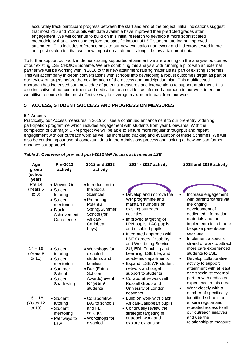accurately track participant progress between the start and end of the project. Initial indications suggest that most Y10 and Y12 pupils with data available have improved their predicted grades after engagement. We will continue to build on this initial research to develop a more sophisticated methodology that allows us to explore the specific impact of LSE student tutoring on improved attainment. This includes reference back to our new evaluation framework and indicators tested in preand post-evaluation that we know impact on attainment alongside raw attainment data.

To further support our work in demonstrating supported attainment we are working on the analysis outcomes of our existing LSE CHOICE Scheme. We are combining this analysis with running a pilot with an external partner we will be working with in 2018 to trial new attainment raising materials as part of existing schemes. This will accompany in-depth conversations with schools into developing a robust outcomes target as part of our review of targets before the next iteration of the access and participation plan. This multifaceted approach has increased our knowledge of potential measures and interventions to support attainment. It is also indicative of our commitment and dedication to an evidence informed approach to our work to ensure we utilise resource in the most effective way to leverage maximum impact from our work.

# **5 ACCESS, STUDENT SUCCESS AND PROGRESSION MEASURES**

# **5.1 Access**

Practically, our Access measures in 2019 will see a continued enhancement to our pre-entry widening participation programme which includes engagement with students from year 6 onwards. With the completion of our major CRM project we will be able to ensure more regular throughput and repeat engagement with our outreach work as well as increased tracking and evaluation of these Schemes. We will also be continuing our use of contextual data in the Admissions process and looking at how we can further enhance our approach.

| Age<br>group                         | Pre-2012<br>activity                                                                                            | 2012 and 2013<br>activity                                                                                                                        | 2014 - 2017 activity                                                                                                                                                                                                                                                            | 2018 and 2019 activity                                                                                                                                                                                                                                                          |
|--------------------------------------|-----------------------------------------------------------------------------------------------------------------|--------------------------------------------------------------------------------------------------------------------------------------------------|---------------------------------------------------------------------------------------------------------------------------------------------------------------------------------------------------------------------------------------------------------------------------------|---------------------------------------------------------------------------------------------------------------------------------------------------------------------------------------------------------------------------------------------------------------------------------|
| (school                              |                                                                                                                 |                                                                                                                                                  |                                                                                                                                                                                                                                                                                 |                                                                                                                                                                                                                                                                                 |
| year)                                |                                                                                                                 |                                                                                                                                                  |                                                                                                                                                                                                                                                                                 |                                                                                                                                                                                                                                                                                 |
| <b>Pre 14</b><br>(Years 6<br>to $8)$ | • Moving On<br>• Student<br>tutoring<br>• Student<br>mentoring<br>$\bullet$ Black<br>Achievement<br>Conference  | • Introduction to<br>the Social<br><b>Sciences</b><br>• Promoting<br>Potential<br>Spring/Summer<br>School (for<br>African-<br>Caribbean<br>boys) | • Develop and improve the<br>WP programme and<br>maintain numbers on<br>existing outreach<br>activities<br>• Improved targeting of<br>LPN pupils, LAC pupils<br>and disabled pupils.<br>• Integrated approach with<br><b>LSE Careers, Disability</b><br>and Well-being Service, | Increase engagement<br>$\bullet$<br>with parents/carers via<br>the onging<br>development of<br>dedicated information<br>materials and the<br>implementation of more<br>bespoke parent/carer<br>sessions.<br>Implement a specific<br>$\bullet$<br>strand of work to attract      |
| $14 - 16$<br>(Years 9<br>to 11)      | • Student<br>tutoring<br>$\bullet$ Student<br>mentoring<br>• Summer<br>School<br>$\bullet$ Student<br>Shadowing | • Workshops for<br>disabled<br>students and<br>families<br>• Dux (Future<br>Scholar<br>Awards) event<br>for year 9<br>students                   | SU, EDI, Teaching and<br>Learning, LSE Life, and<br>academic departments<br>• Expand LSE WP student<br>network and target<br>support to students<br>• Collaborative work with<br>Russell Group and<br>University of London<br>networks.                                         | more care experienced<br>students to LSE<br>Develop collaborative<br>$\bullet$<br>activity to support<br>attainment with at least<br>one specialist external<br>partner with dedicated<br>experience in this area<br>Work closely with a<br>$\bullet$<br>number of specifically |
| $16 - 18$<br>(Years 12<br>to 13)     | • Student<br>tutoring<br>• Student<br>mentoring<br>• Pathways to<br>Law                                         | • Collaborative<br>IAG to schools<br>and FE<br>colleges<br>· Workshops for<br>disabled                                                           | • Build on work with black<br>African-Caribbean pupils<br>• Continually review the<br>strategic targeting of<br>outreach work and<br>explore expansion                                                                                                                          | identified schools to<br>ensure regular and<br>repeated access to all<br>our outreach iniatives<br>and use the<br>relationship to measure                                                                                                                                       |

### *Table 2: Overview of pre- and post-2012 WP Access activities at LSE*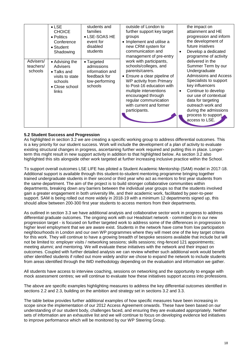| Advisers/<br>teachers/<br>schools | $\bullet$ LSE<br><b>CHOICE</b><br>• Politics<br>Conference<br>$\bullet$ Student<br>Shadowing<br>• Advising the<br>Advisers<br>$\bullet$ Talks and<br>visits to state<br>schools<br>• Close school<br>links | students and<br>families<br>• LSE-SOAS HE<br>event for<br>disabled<br>students<br>• Targeted<br>admissions<br>information and<br>feedback for<br>low-performing<br>schools | outside of London to<br>further support key target<br>groups<br>• Implement and utilise a<br>new CRM system for<br>communication and<br>management of pre-entry<br>work with participants,<br>schools/colleges, and<br>parents/carers.<br>• Ensure a clear pipeline of<br>WP activity from Primary<br>to Post-16 education with<br>multiple interventions<br>encouraged through<br>regular communication<br>with current and former<br>participants. | the impact on<br>attainment and HE<br>progression and inform<br>the development of<br>future injatives<br>Develop a dedicated<br>$\bullet$<br>programme of activity<br>delivered in the<br>Summer Term by our<br>Undergraduate<br>Admissions and Access<br>Specialists to support<br>key influencers<br>Continue to develop<br>$\bullet$<br>our use of contextual<br>data for targeting<br>outreach work and<br>during the admissions<br>process to support<br>access to LSE. |
|-----------------------------------|------------------------------------------------------------------------------------------------------------------------------------------------------------------------------------------------------------|----------------------------------------------------------------------------------------------------------------------------------------------------------------------------|------------------------------------------------------------------------------------------------------------------------------------------------------------------------------------------------------------------------------------------------------------------------------------------------------------------------------------------------------------------------------------------------------------------------------------------------------|-------------------------------------------------------------------------------------------------------------------------------------------------------------------------------------------------------------------------------------------------------------------------------------------------------------------------------------------------------------------------------------------------------------------------------------------------------------------------------|
|                                   |                                                                                                                                                                                                            |                                                                                                                                                                            |                                                                                                                                                                                                                                                                                                                                                                                                                                                      |                                                                                                                                                                                                                                                                                                                                                                                                                                                                               |

### **5.2 Student Success and Progression**

As highlighted in section 3.2 we are creating a specific working group to address differential outcomes. This is a key priority for our student success. Work will include the development of a plan of activity to evaluate existing structural changes in progress, ascertaining further work required and putting this in place. Longerterm this might result in new support activity in addition to that highlighted below. As section 3.2 also highlighted this sits alongside other work targeted at further increasing inclusive practice within the School.

To support overall outcomes LSE LIFE has piloted a Student Academic Mentorship (SAM) model in 2017-18. Additional support is available through this student-to-student mentoring programme bringing together trained undergraduate students in their second or third year who act as mentors to first year students from the same department. The aim of the project is to build stronger collaborative communities within departments, breaking down any barriers between the individual year groups so that the students involved gain a greater engagement in both university life, and their academic work, facilitated by peer-to-peer support. SAM is being rolled out more widely in 2018-19 with a minimum 12 departments signed up, this should allow between 200-300 first year students to access mentors from their departments.

As outlined in section 3.3 we have additional analysis and collaborative sector work in progress to address differential graduate outcomes. The ongoing work with our Headstart network - committed to in our new progression target - is focused on further targeted work to address some of the differences in progression to higher level employment that we are aware exist. Students in the network have come from low participation neighbourhoods in London and our own WP programmes where they will meet one of the key target criteria for this work. They will continue to have a growing breadth of bespoke sessions available that include but will not be limited to: employer visits / networking sessions; skills sessions; ring-fenced 121 appointments; meeting alumni; and mentoring. We will evaluate these initiatives with the network and their impact on outcomes. Coupled with further detailed analysis we can review whether such additional work would benefit other identified students if rolled out more widely and/or we chose to expand the network to include students from areas identified through the IMD methodology depending on the evaluation and information we gather.

All students have access to interview coaching, sessions on networking and the opportunity to engage with mock assessment centres; we will continue to evaluate how these initiatives support access into professions.

The above are specific examples highlighting measures to address the key differential outcomes identified in sections 2.2 and 2.3, building on the ambition and strategy set in sections 3.2 and 3.3.

The table below provides further additional examples of how specific measures have been increasing in scope since the implementation of our 2012 Access Agreement onwards. These have been based on our understanding of our student body, challenges faced, and ensuring they are evaluated appropriately. Neither sets of information are an exhaustive list and we will continue to focus on developing evidence led initiatives to improve performance which will be monitored by our WP Steering Group.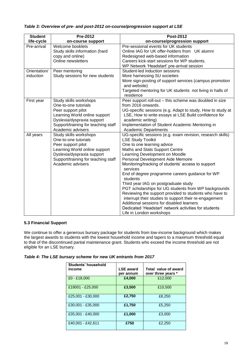| <b>Student</b>            | Pre-2012                                                                                                                                                                                        | <b>Post-2012</b>                                                                                                                                                                                                                                                                                                                                                                                                                                                                                                                                                                                                                                                                                                     |
|---------------------------|-------------------------------------------------------------------------------------------------------------------------------------------------------------------------------------------------|----------------------------------------------------------------------------------------------------------------------------------------------------------------------------------------------------------------------------------------------------------------------------------------------------------------------------------------------------------------------------------------------------------------------------------------------------------------------------------------------------------------------------------------------------------------------------------------------------------------------------------------------------------------------------------------------------------------------|
| life-cycle                | on-course support                                                                                                                                                                               | on-course/progression support                                                                                                                                                                                                                                                                                                                                                                                                                                                                                                                                                                                                                                                                                        |
| Pre-arrival               | Welcome booklets<br>Study skills information (hard<br>copy and online)<br>Online newsletters                                                                                                    | Pre-sessional events for UK students<br>Online IAG for UK offer-holders from UK alumni<br>Redesigned web-based information<br>Careers kick-start sessions for WP students.<br>WP Network 'Headstart' pre-arrival session                                                                                                                                                                                                                                                                                                                                                                                                                                                                                             |
| Orientation/<br>induction | Peer mentoring<br>Study sessions for new students                                                                                                                                               | Student-led induction sessions<br>More harnessing SU societies<br>More sign-posting of support services (campus promotion<br>and website)<br>Targeted mentoring for UK students not living in halls of<br>residence                                                                                                                                                                                                                                                                                                                                                                                                                                                                                                  |
| First year                | Study skills workshops<br>One-to-one tutorials<br>Peer support pilot<br>Learning World online support<br>Dyslexia/dyspraxia support<br>Support/training for teaching staff<br>Academic advisers | Peer support roll-out - this scheme was doubled in size<br>from 2016 onwards.<br>UG-specific sessions (e.g. Adapt to study, How to study at<br>LSE, How to write essays at LSE Build confidence for<br>academic writing)<br>Implementation of Student Academic Mentoring in<br><b>Academic Departments</b>                                                                                                                                                                                                                                                                                                                                                                                                           |
| All years                 | Study skills workshops<br>One-to-one tutorials<br>Peer support pilot<br>Learning World online support<br>Dyslexia/dyspraxia support<br>Support/training for teaching staff<br>Academic advisers | UG-specific sessions (e.g. exam revision, research skills)<br><b>LSE Study Toolkit</b><br>One to one learning advice<br>Maths and Stats Support Centre<br>Learning Development on Moodle<br>Personal Development Aide Memoire<br>Monitoring/tracking of students' access to support<br>services<br>End of degree programme careers guidance for WP<br>students<br>Third year IAG on postgraduate study<br>PGT scholarships for UG students from WP backgrounds<br>Reviewing the support provided to students who have to<br>interrupt their studies to support their re-engagement<br>Additional sessions for disabled learners<br>Dedicated 'Headstart' network activities for students<br>Life in London workshops |

# *Table 3: Overview of pre- and post-2012 on-course/progression support at LSE*

#### **5.3 Financial Support**

We continue to offer a generous bursary package for students from low-income background which makes the largest awards to students with the lowest household income and tapers to a maximum threshold equal to that of the discontinued partial maintenance grant. Students who exceed the income threshold are not eligible for an LSE bursary.

| Students' household<br>income | <b>LSE award</b><br>per annum | Total value of award<br>over three years * |
|-------------------------------|-------------------------------|--------------------------------------------|
| £0 - £18,000                  | £4,000                        | £12,000                                    |
| £18001 - £25,000              | £3,500                        | £10,500                                    |
| £25,001 - £30,000             | £2,750                        | £8,250                                     |
| £30,001 - £35,000             | £1,750                        | £5,250                                     |
| £35,001 - £40,000             | £1.000                        | £3,000                                     |
| £40,001 - £42,611             | £750                          | £2,250                                     |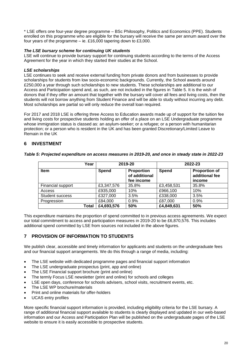\* LSE offers one four-year degree programme – BSc Philosophy, Politics and Economics (PPE). Students enrolled on this programme who are eligible for the bursary will receive the same per annum award over the four years of the programme – ie. £16,000 tapering down to £3,000.

### *The LSE bursary scheme for continuing UK students*

LSE will continue to provide bursary support for continuing students according to the terms of the Access Agreement for the year in which they started their studies at the School.

### *LSE scholarships*

LSE continues to seek and receive external funding from private donors and from businesses to provide scholarships for students from low socio-economic backgrounds. Currently, the School awards around £250,000 a year through such scholarships to new students. These scholarships are additional to our Access and Participation spend and, as such, are not included in the figures in Table 5. It is the wish of donors that if they offer an amount that together with the bursary will cover all fees and living costs, then the students will not borrow anything from Student Finance and will be able to study without incurring any debt. Most scholarships are partial so will only reduce the overall loan required.

For 2017 and 2018 LSE is offering three Access to Education awards made up of support for the tuition fee and living costs for prospective students holding an offer of a place on an LSE Undergraduate programme whose immigration status is classed as: an asylum-seeker; or a refugee; or a person with humanitarian protection; or a person who is resident in the UK and has been granted Discretionary/Limited Leave to Remain in the UK

# **6 INVESTMENT**

|  | Table 5: Projected expenditure on access measures in 2019-20, and once in steady state in 2022-23 |
|--|---------------------------------------------------------------------------------------------------|
|--|---------------------------------------------------------------------------------------------------|

| Year                   |              | 2019-20                                          | 2022-23      |                                                  |  |  |  |
|------------------------|--------------|--------------------------------------------------|--------------|--------------------------------------------------|--|--|--|
| <b>Item</b>            | <b>Spend</b> | <b>Proportion</b><br>of additional<br>fee income | <b>Spend</b> | <b>Proportion of</b><br>additional fee<br>income |  |  |  |
| Financial support      | £3,347,576   | 35.8%                                            | £3,458,531   | 35.8%                                            |  |  |  |
| Access                 | £935,000     | 10%                                              | £966,100     | 10%                                              |  |  |  |
| <b>Student success</b> | £327,000     | 3.5%                                             | £338,000     | 3.5%                                             |  |  |  |
| Progression            | £84,000      | 0.9%                                             | £87,000      | 0.9%                                             |  |  |  |
| Total                  | £4,693,576   | 50%                                              | £4,849,631   | 50%                                              |  |  |  |

This expenditure maintains the proportion of spend committed to in previous access agreements. We expect our total commitment to access and participation measures in 2019-20 to be £6,870,576. This includes additional spend committed by LSE from sources not included in the above figures.

## **7 PROVISION OF INFORMATION TO STUDENTS**

We publish clear, accessible and timely information for applicants and students on the undergraduate fees and our financial support arrangements. We do this through a range of media, including:

- The LSE website with dedicated programme pages and financial support information
- The LSE undergraduate prospectus (print, app and online)
- The LSE Financial support brochure (print and online)
- The termly Focus LSE newsletter (print and online) for schools and colleges
- LSE open days, conference for schools advisers, school visits, recruitment events, etc.
- The LSE WP brochure/materials
- Print and online materials for offer-holders
- UCAS entry profiles

More specific financial support information is provided, including eligibility criteria for the LSE bursary. A range of additional financial support available to students is clearly displayed and updated in our web-based information and our Access and Participation Plan will be published on the undergraduate pages of the LSE website to ensure it is easily accessible to prospective students.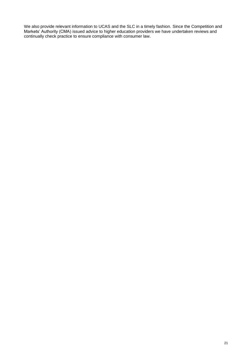We also provide relevant information to UCAS and the SLC in a timely fashion. Since the Competition and Markets' Authority (CMA) issued advice to higher education providers we have undertaken reviews and continually check practice to ensure compliance with consumer law.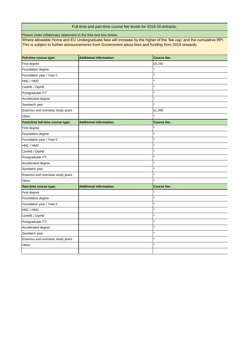# Full-time and part-time course fee levels for 2019-20 entrants.

Please enter inflationary statement in the free text box below.

Where allowable Home and EU Undergraduate fees will increase by the higher of the 'fee cap' and the cumulative RPI. This is subject to further announcements from Government about fees and funding from 2019 onwards.

| <b>Full-time course type:</b>    | <b>Additional information:</b> | <b>Course fee:</b> |
|----------------------------------|--------------------------------|--------------------|
| First degree                     |                                | £9,250             |
| Foundation degree                |                                |                    |
| Foundation year / Year 0         |                                | $\star$            |
| HNC / HND                        |                                |                    |
| CertHE / DipHE                   |                                |                    |
| Postgraduate ITT                 |                                |                    |
| Accelerated degree               |                                |                    |
| Sandwich year                    |                                |                    |
| Erasmus and overseas study years |                                | £1,385             |
| Other                            |                                |                    |
| Franchise full-time course type: | <b>Additional information:</b> | <b>Course fee:</b> |
| First degree                     |                                |                    |
| Foundation degree                |                                |                    |
| Foundation year / Year 0         |                                |                    |
| HNC / HND                        |                                |                    |
| CertHE / DipHE                   |                                |                    |
| Postgraduate ITT                 |                                |                    |
| Accelerated degree               |                                |                    |
| Sandwich year                    |                                |                    |
| Erasmus and overseas study years |                                | $\star$            |
| Other                            |                                |                    |
| Part-time course type:           | <b>Additional information:</b> | <b>Course fee:</b> |
| First degree                     |                                |                    |
| Foundation degree                |                                | $\star$            |
| Foundation year / Year 0         |                                |                    |
| HNC / HND                        |                                |                    |
| CertHE / DipHE                   |                                |                    |
| Postgraduate ITT                 |                                |                    |
| Accelerated degree               |                                | $\star$            |
| Sandwich year                    |                                |                    |
| Erasmus and overseas study years |                                |                    |
| Other                            |                                |                    |
|                                  |                                |                    |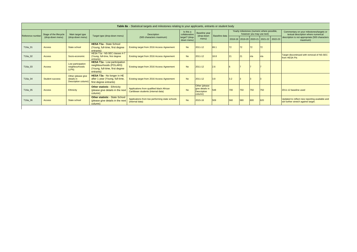| Table 8a - Statistical targets and milestones relating to your applicants, entrants or student body |                        |                                                                      |                                                                                                                |                                                                                 |                              |                                                                   |               |                           |                                            |     |                                                                                 |                                         |                                                                                       |
|-----------------------------------------------------------------------------------------------------|------------------------|----------------------------------------------------------------------|----------------------------------------------------------------------------------------------------------------|---------------------------------------------------------------------------------|------------------------------|-------------------------------------------------------------------|---------------|---------------------------|--------------------------------------------|-----|---------------------------------------------------------------------------------|-----------------------------------------|---------------------------------------------------------------------------------------|
| Reference number                                                                                    | Stage of the lifecycle | Is this a<br><b>Description</b><br>collaborative<br>Main target type |                                                                                                                | <b>Baseline</b> year                                                            |                              |                                                                   |               | however you may use text) | Yearly milestones (numeric where possible, |     | Commentary on your milestones/targets or<br>textual description where numerical |                                         |                                                                                       |
|                                                                                                     | (drop-down menu)       | (drop-down menu)                                                     | Target type (drop-down menu)                                                                                   | (500 characters maximum)                                                        | target? (drop-<br>down menu) | (drop-down<br>menu)                                               | Baseline data |                           |                                            |     |                                                                                 | 2018-19 2019-20 2020-21 2021-22 2022-23 | description is not appropriate (500 characters<br>maximum)                            |
| T16a_01                                                                                             | <b>Access</b>          | State school                                                         | <b>HESA T1a - State School</b><br>(Young, full-time, first degree<br>entrants)                                 | Existing target from 2016 Access Agreement                                      | <b>No</b>                    | $2011 - 12$                                                       | 69.1          | 72                        |                                            | 72  |                                                                                 |                                         |                                                                                       |
| T16a_02                                                                                             | <b>Access</b>          | Socio-economic                                                       | HESA T1a - NS-SEC classes 4-7<br>(Young, full-time, first degree<br>entrants)                                  | Existing target from 2016 Access Agreement                                      | <b>No</b>                    | 2011-12                                                           | 18.8          | 21                        |                                            | n/a | ln/a                                                                            |                                         | Target discontinued with removal of NS-SEC<br>from HESA Pis                           |
| T16a_03                                                                                             | <b>Access</b>          | Low participation<br>neighbourhoods<br>(LPN)                         | <b>HESA T1a - Low participation</b><br>neighbourhoods (POLAR3)<br>(Young, full-time, first degree<br>entrants) | Existing target from 2016 Access Agreement                                      | <b>No</b>                    | $2011 - 12$                                                       | 2.6           |                           |                                            |     |                                                                                 |                                         |                                                                                       |
| T16a_04                                                                                             | <b>Student success</b> | Other (please give<br>details in<br>Description column               | HESA T3a - No longer in HE<br>after 1 year (Young, full-time,<br>first degree entrants)                        | Existing target from 2016 Access Agreement                                      | <b>No</b>                    | $2011 - 12$                                                       | 3.8           | 3.2                       |                                            |     |                                                                                 |                                         |                                                                                       |
| T16a_05                                                                                             | <b>Access</b>          | <b>Ethnicity</b>                                                     | <b>Other statistic - Ethnicity</b><br>(please give details in the next<br>column)                              | Applications from qualified black African<br>Caribbean students (internal data) | <b>No</b>                    | Other (please<br>give details in<br><b>Description</b><br>column) | 548           | 700                       | 750                                        | 750 | 750                                                                             |                                         | 2011-12 baseline used                                                                 |
| T16a_06                                                                                             | <b>Access</b>          | State school                                                         | <b>Other statistic - State School</b><br>(please give details in the next<br>column)                           | Applications from low performing state schools<br>(internal data)               | <b>No</b>                    | 2015-16                                                           | 509           | 560                       | 580                                        | 600 | 620                                                                             |                                         | Updated to reflect new reporting available and<br>set further stretch against target. |

 $\mathbb{R}$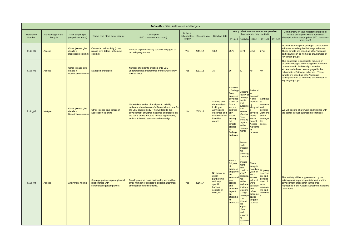|           |                     |                                                         |                                                                                        | Table 8b - Other milestones and targets.                                                                                                                                                                                                                                                          |           |                               |                                                                                                                                    |                                                                                                                                                                                                                                    |                                                                                                                                                                                                                                                                                                  |                                                                                                                                                                            |                                                                                                       |         |                                                                                                                                                                                                                                                                                                                                    |
|-----------|---------------------|---------------------------------------------------------|----------------------------------------------------------------------------------------|---------------------------------------------------------------------------------------------------------------------------------------------------------------------------------------------------------------------------------------------------------------------------------------------------|-----------|-------------------------------|------------------------------------------------------------------------------------------------------------------------------------|------------------------------------------------------------------------------------------------------------------------------------------------------------------------------------------------------------------------------------|--------------------------------------------------------------------------------------------------------------------------------------------------------------------------------------------------------------------------------------------------------------------------------------------------|----------------------------------------------------------------------------------------------------------------------------------------------------------------------------|-------------------------------------------------------------------------------------------------------|---------|------------------------------------------------------------------------------------------------------------------------------------------------------------------------------------------------------------------------------------------------------------------------------------------------------------------------------------|
| Reference | Select stage of the | Main target type                                        |                                                                                        | Description                                                                                                                                                                                                                                                                                       | Is this a |                               |                                                                                                                                    |                                                                                                                                                                                                                                    |                                                                                                                                                                                                                                                                                                  | Yearly milestones (numeric where possible,<br>however you may use text)                                                                                                    |                                                                                                       |         | Commentary on your milestones/targets or<br>textual description where numerical                                                                                                                                                                                                                                                    |
| Number    | lifecycle           | (drop-down menu)                                        | Target type (drop-down menu)                                                           | (500 characters maximum)                                                                                                                                                                                                                                                                          | target?   | collaborative   Baseline year | Baseline data                                                                                                                      |                                                                                                                                                                                                                                    |                                                                                                                                                                                                                                                                                                  | 2018-19 2019-20 2020-21 2021-22                                                                                                                                            |                                                                                                       | 2022-23 | description is not appropriate (500 characters<br>maximum)                                                                                                                                                                                                                                                                         |
| T16b_01   | <b>Access</b>       | Other (please give<br>details in<br>Description column) | Outreach / WP activity (other -<br>please give details in the next<br>column)          | Number of pre-university students engaged on<br>our WP programmes                                                                                                                                                                                                                                 | Yes       | 2011-12                       | 1881                                                                                                                               | 2570                                                                                                                                                                                                                               | 2570                                                                                                                                                                                                                                                                                             | 2750                                                                                                                                                                       | 2750                                                                                                  |         | Includes student participating in collaborative<br>schemes including the Pathways schemes.<br>These targets are coded as 'other' because<br>participants can be from one of a number of<br>key target groups.                                                                                                                      |
| T16b_02   | <b>Access</b>       | Other (please give<br>details in<br>Description column) | <b>Management targets</b>                                                              | Number of students enrolled onto LSE<br>undergraduate programmes from our pre-entry<br><b>WP</b> activities                                                                                                                                                                                       | Yes       | 2011-12                       | 16                                                                                                                                 | 36                                                                                                                                                                                                                                 | $ 40\rangle$                                                                                                                                                                                                                                                                                     | 40                                                                                                                                                                         | 40                                                                                                    |         | This enrolment is specifically focused on<br>students engaged in our long-term intensive<br>outreach work. Additionally it includes<br>students who have been engaged in the<br>collaborative Pathways schemes. These<br>targets are coded as 'other' because<br>participants can be from one of a number of<br>key target groups. |
| T16b_03   | <b>Multiple</b>     | Other (please give<br>details in<br>Description column) | Other (please give details in<br>Description column)                                   | Undertake a series of analyses to reliably<br>understand any issues of differential outcome for<br>the LSE student body. This will lead to the<br>development of further initiatives and targets on<br>the basis of this in future Access Agreements,<br>and contribute to sector-wide knowledge. | <b>No</b> | 2015-16                       | <b>Starting pilot</b><br>data analysis<br>looking at<br><b>Admissions</b><br>outcomes and<br>experience by<br>identified<br>groups | Reviewe<br>Id findings Ongoing <sup>I'</sup><br>from<br>analyses;<br>develope<br>d plan of<br><b>future</b><br>work to<br>address<br>$\sqrt{a}$<br><b>issues</b><br>arising;<br>set<br>targets<br>aligned<br>findings<br>and plan. | review of<br>develop<br>ments<br>and<br>outcome<br>$\vert$ s to<br>assess<br>effective<br>ness<br>and any<br>required<br>further<br>develop<br>ments                                                                                                                                             | <b>Embedd</b><br>led<br>evaluatio<br>n and<br>monitori<br>ng<br>alongsid and<br>develop<br>ments<br>within<br>annual<br>Access<br>Agreeme<br>process                       | <b>Continue</b><br><b>Ito</b><br>enhance<br>develop<br>work and<br>share<br>amongst<br>the<br>sector. |         | We will seek to share work and findings with<br>the sector through appropriate channels.                                                                                                                                                                                                                                           |
| T16b_04   | <b>Access</b>       | <b>Attainment raising</b>                               | Strategic partnerships (eg formal<br>relationships with<br>schools/colleges/employers) | Development of close partnership work with a<br>small number of schools to support attainment<br>amongst identified students.                                                                                                                                                                     | Yes       | 2016-17                       | No formal in-<br>depth<br>partnership<br>with any<br>specific<br>London<br>schools or<br>colleges                                  | Have a<br>full year<br>outreach<br>engagem<br>across all participa<br>year<br>groups<br>and<br>evaluate<br>impact<br>attainme<br>indicators assess                                                                                 | Repeat<br><b>work</b><br>program<br>me<br>ensuring<br>continue<br>engage<br>ment<br>from<br>previous<br>years'<br>nts;<br>further<br>evaluate<br>findings.<br>Outcom<br>e target<br>develope<br>$\mathsf{Id}$ to<br><i>impact</i><br>of our<br><b>work</b><br>supporti<br>ng<br>attainme<br>Int. | <b>Share</b><br>analysis<br>from two Ongoing<br>years of<br>work;<br>assess<br>value of<br>work<br>package;<br>and<br>refine<br>outcome<br>based<br>target if<br>required. | assessm<br>ent and<br>develop<br>ment of<br><b>work</b><br>program<br>me and<br>outcome               |         | This activity will be supplemented by our<br>existing work supporting attainment and the<br>development of research in this area<br>highlighted in our Access Agreement narrative<br>documents.                                                                                                                                    |